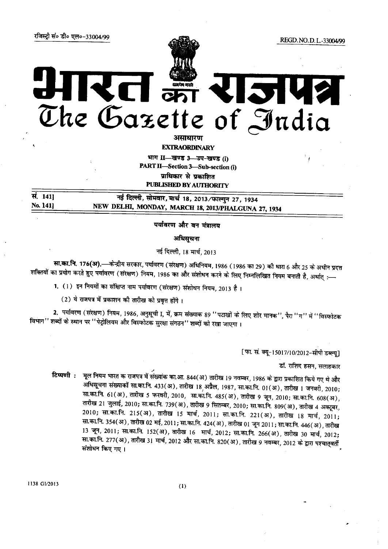# $\begin{picture}(180,10) \put(0,0){\line(1,0){155}} \put(15,0){\line(1,0){155}} \put(15,0){\line(1,0){155}} \put(15,0){\line(1,0){155}} \put(15,0){\line(1,0){155}} \put(15,0){\line(1,0){155}} \put(15,0){\line(1,0){155}} \put(15,0){\line(1,0){155}} \put(15,0){\line(1,0){155}} \put(15,0){\line(1,0){155}} \put(15,0){\line(1,0){155}}$  $\sim$ The Gazette of India

असाधारण

**EXTRAORDINARY** 

भाग II-खण्ड 3-उप-खण्ड (i) **PART II-Section 3-Sub-section (i)** प्राधिकार से प्रकाशित **PUBLISHED BY AUTHORITY** 

नई दिल्ली, सोमवार, मार्च 18, 2013/फाल्गुन 27, 1934 NEW DELHI, MONDAY, MARCH 18, 2013/PHALGUNA 27, 1934

पर्यावरण और वन मंत्रालय

अधिसूचना

नई दिल्ली, 18 मार्च, 2013

सा.का.नि. 176(अ).—केन्द्रीय सरकार, पर्यावरण (संरक्षण) अधिनियम, 1986 (1986 का 29) की धारा 6 और 25 के अधीन प्रदत्त शक्तियों का प्रयोग करते हुए पर्यावरण (संरक्षण) नियम, 1986 का और संशोधन करने के लिए निम्नलिखित नियम बनाती है, अर्थात् :-

1. (1) इन नियमों का संक्षिप्त नाम पर्यावरण (संरक्षण) संशोधन नियम, 2013 है।

(2) ये राजपत्र में प्रकाशन की तारीख को प्रवत्त होंगे।

2. पर्यावरण (संरक्षण) नियम, 1986, अनुसूची I, में, क्रम संख्याक 89 ''पटाखों के लिए शोर मानक'', पैरा ''ग'' में ''विस्फोटक विभाग'' शब्दों के स्थान पर ''पेट्रोलियम और विस्फोटक सुरक्षा संगठन'' शब्दों को रखा जाएगा।

[फा. सं. क्यू-15017/10/2012-सीपी डब्ल्य]

डॉ. राशिद हसन, सलाहकार

मूल नियम भारत क राजपत्र में संख्यांक का.आ. 844(अ) तारीख 19 नवम्बर, 1986 के द्वारा प्रकाशित किये गए थे और टिप्पणी : .<br>अधिसूचना संख्याकों सा.का.नि. 433(अ), तारीख 18 अप्रैल, 1987, सा.का.नि. 01(अ), तारीख 1 जनवरी, 2010; सा.का.नि. 61(अ), तारीख 5 फरवरी, 2010, सा.का.नि. 485(अ), तारीख 9 जून, 2010; सा.का.नि. 608(अ), ्तारीख 21 जुलाई, 2010; सा.का.नि. 739(अ), तारीख 9 सितम्बर, 2010; सा.का.नि. 809(अ), तारीख 4 अक्टूबर, 2010; सा.का.नि. 215(अ), तारीख 15 मार्च, 2011; सा.का.नि. 221(अ), तारीख 18 मार्च, 2011; सा.का.नि. 354(अ), तारीख 02 मई, 2011; सा.का.नि. 424(अ), तारीख 01 जून 2011; सा.का.नि. 446(अ), तारीख 13 जून, 2011; सा.का.नि. 152(अ), तारीख 16 मार्च, 2012; सा.का.नि. 266(अ), तारीख 30 मार्च, 2012; सा.का.नि. 277(अ), तारीख 31 मार्च, 2012 और सा.का.नि. 820(अ), तारीख 9 नवम्बर, 2012 के द्वारा पश्चात्**वर्ती** संशोधन किए गए।

1138 GI/2013

सं. 1411

No. 141]